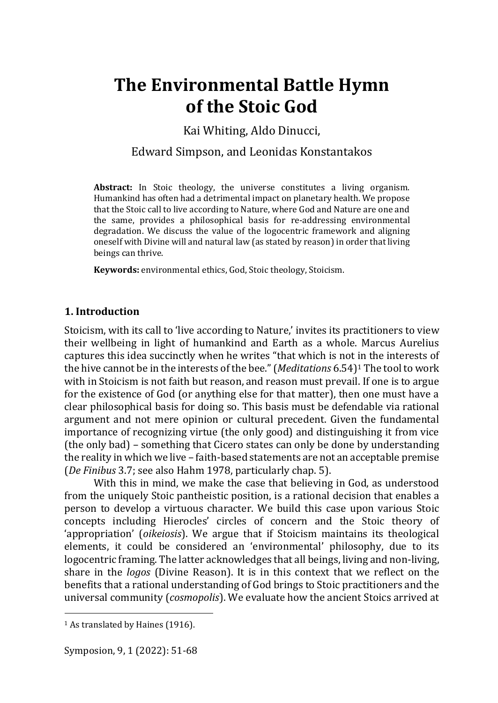# **The Environmental Battle Hymn of the Stoic God**

Kai Whiting, Aldo Dinucci,

# Edward Simpson, and Leonidas Konstantakos

**Abstract:** In Stoic theology, the universe constitutes a living organism. Humankind has often had a detrimental impact on planetary health. We propose that the Stoic call to live according to Nature, where God and Nature are one and the same, provides a philosophical basis for re-addressing environmental degradation. We discuss the value of the logocentric framework and aligning oneself with Divine will and natural law (as stated by reason) in order that living beings can thrive.

**Keywords:** environmental ethics, God, Stoic theology, Stoicism.

## **1. Introduction**

Stoicism, with its call to 'live according to Nature,' invites its practitioners to view their wellbeing in light of humankind and Earth as a whole. Marcus Aurelius captures this idea succinctly when he writes "that which is not in the interests of the hive cannot be in the interests of the bee."(*Meditations* 6.54)<sup>1</sup> The tool to work with in Stoicism is not faith but reason, and reason must prevail. If one is to argue for the existence of God (or anything else for that matter), then one must have a clear philosophical basis for doing so. This basis must be defendable via rational argument and not mere opinion or cultural precedent. Given the fundamental importance of recognizing virtue (the only good) and distinguishing it from vice (the only bad) – something that Cicero states can only be done by understanding the reality in which we live – faith-based statements are not an acceptable premise (*De Finibus* 3.7; see also Hahm 1978, particularly chap. 5).

With this in mind, we make the case that believing in God, as understood from the uniquely Stoic pantheistic position, is a rational decision that enables a person to develop a virtuous character. We build this case upon various Stoic concepts including Hierocles' circles of concern and the Stoic theory of 'appropriation' (*oikeiosis*). We argue that if Stoicism maintains its theological elements, it could be considered an 'environmental' philosophy, due to its logocentric framing. The latter acknowledges that all beings, living and non-living, share in the *logos* (Divine Reason). It is in this context that we reflect on the benefits that a rational understanding of God brings to Stoic practitioners and the universal community (*cosmopolis*). We evaluate how the ancient Stoics arrived at

<sup>&</sup>lt;sup>1</sup> As translated by Haines (1916).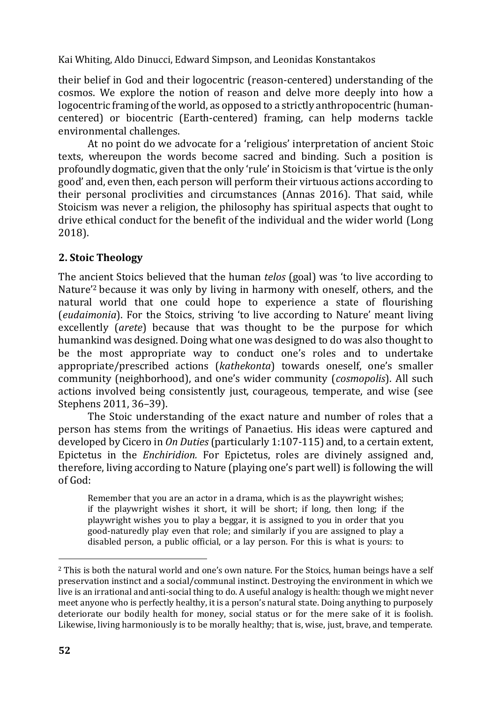their belief in God and their logocentric (reason-centered) understanding of the cosmos. We explore the notion of reason and delve more deeply into how a logocentric framing of the world, as opposed to a strictly anthropocentric (humancentered) or biocentric (Earth-centered) framing, can help moderns tackle environmental challenges.

At no point do we advocate for a 'religious' interpretation of ancient Stoic texts, whereupon the words become sacred and binding. Such a position is profoundly dogmatic, given that the only 'rule' in Stoicism is that 'virtue is the only good' and, even then, each person will perform their virtuous actions according to their personal proclivities and circumstances (Annas 2016). That said, while Stoicism was never a religion, the philosophy has spiritual aspects that ought to drive ethical conduct for the benefit of the individual and the wider world (Long 2018).

# **2. Stoic Theology**

The ancient Stoics believed that the human *telos* (goal) was 'to live according to Nature'<sup>2</sup> because it was only by living in harmony with oneself, others, and the natural world that one could hope to experience a state of flourishing (*eudaimonia*). For the Stoics, striving 'to live according to Nature' meant living excellently (*arete*) because that was thought to be the purpose for which humankind was designed. Doing what one was designed to do was also thought to be the most appropriate way to conduct one's roles and to undertake appropriate/prescribed actions (*kathekonta*) towards oneself, one's smaller community (neighborhood), and one's wider community (*cosmopolis*). All such actions involved being consistently just, courageous, temperate, and wise (see Stephens 2011, 36–39).

The Stoic understanding of the exact nature and number of roles that a person has stems from the writings of Panaetius. His ideas were captured and developed by Cicero in *On Duties* (particularly 1:107-115) and, to a certain extent, Epictetus in the *Enchiridion.* For Epictetus, roles are divinely assigned and, therefore, living according to Nature (playing one's part well) is following the will of God:

Remember that you are an actor in a drama, which is as the playwright wishes; if the playwright wishes it short, it will be short; if long, then long; if the playwright wishes you to play a beggar, it is assigned to you in order that you good-naturedly play even that role; and similarly if you are assigned to play a disabled person, a public official, or a lay person. For this is what is yours: to

<sup>2</sup> This is both the natural world and one's own nature. For the Stoics, human beings have a self preservation instinct and a social/communal instinct. Destroying the environment in which we live is an irrational and anti-social thing to do. A useful analogy is health: though we might never meet anyone who is perfectly healthy, it is a person's natural state. Doing anything to purposely deteriorate our bodily health for money, social status or for the mere sake of it is foolish. Likewise, living harmoniously is to be morally healthy; that is, wise, just, brave, and temperate.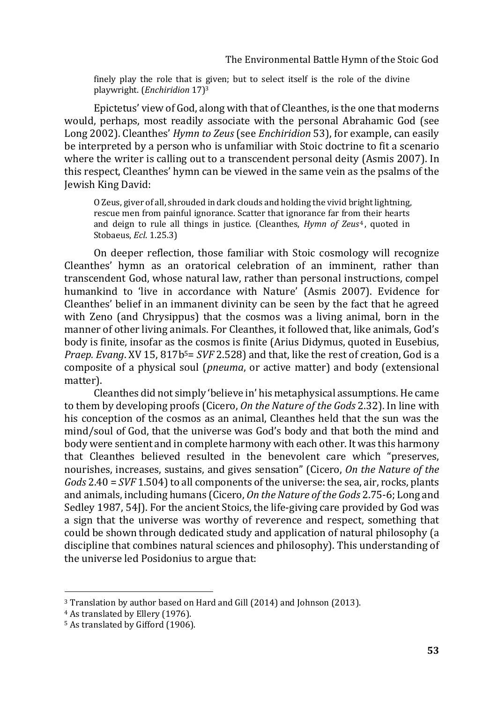finely play the role that is given; but to select itself is the role of the divine playwright. (*Enchiridion* 17)<sup>3</sup>

Epictetus' view of God, along with that of Cleanthes, is the one that moderns would, perhaps, most readily associate with the personal Abrahamic God (see Long 2002). Cleanthes' *Hymn to Zeus* (see *Enchiridion* 53), for example, can easily be interpreted by a person who is unfamiliar with Stoic doctrine to fit a scenario where the writer is calling out to a transcendent personal deity (Asmis 2007). In this respect, Cleanthes' hymn can be viewed in the same vein as the psalms of the Jewish King David:

O Zeus, giver of all, shrouded in dark clouds and holding the vivid bright lightning, rescue men from painful ignorance. Scatter that ignorance far from their hearts and deign to rule all things in justice. (Cleanthes, *Hymn of Zeus<sup>4</sup>*, quoted in Stobaeus, *Ecl*. 1.25.3)

On deeper reflection, those familiar with Stoic cosmology will recognize Cleanthes' hymn as an oratorical celebration of an imminent, rather than transcendent God, whose natural law, rather than personal instructions, compel humankind to 'live in accordance with Nature' (Asmis 2007). Evidence for Cleanthes' belief in an immanent divinity can be seen by the fact that he agreed with Zeno (and Chrysippus) that the cosmos was a living animal, born in the manner of other living animals. For Cleanthes, it followed that, like animals, God's body is finite, insofar as the cosmos is finite (Arius Didymus, quoted in Eusebius, *Praep. Evang*. XV 15, 817b5= *SVF* 2.528) and that, like the rest of creation, God is a composite of a physical soul (*pneuma*, or active matter) and body (extensional matter).

Cleanthes did not simply 'believe in' his metaphysical assumptions. He came to them by developing proofs (Cicero, *On the Nature of the Gods* 2.32). In line with his conception of the cosmos as an animal, Cleanthes held that the sun was the mind/soul of God, that the universe was God's body and that both the mind and body were sentient and in complete harmony with each other. It was this harmony that Cleanthes believed resulted in the benevolent care which "preserves, nourishes, increases, sustains, and gives sensation" (Cicero, *On the Nature of the Gods* 2.40 = *SVF* 1.504) to all components of the universe: the sea, air, rocks, plants and animals, including humans (Cicero, *On the Nature of the Gods* 2.75-6; Long and Sedley 1987, 54J). For the ancient Stoics, the life-giving care provided by God was a sign that the universe was worthy of reverence and respect, something that could be shown through dedicated study and application of natural philosophy (a discipline that combines natural sciences and philosophy). This understanding of the universe led Posidonius to argue that:

<sup>3</sup> Translation by author based on Hard and Gill (2014) and Johnson (2013).

<sup>4</sup> As translated by Ellery (1976).

<sup>5</sup> As translated by Gifford (1906).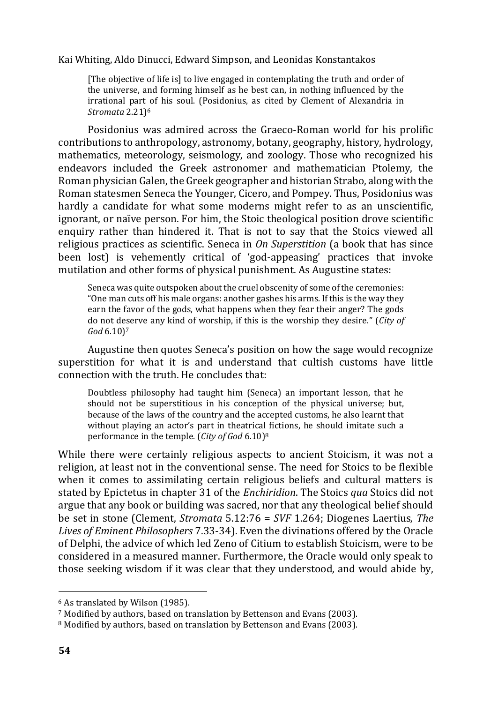[The objective of life is] to live engaged in contemplating the truth and order of the universe, and forming himself as he best can, in nothing influenced by the irrational part of his soul. (Posidonius, as cited by Clement of Alexandria in *Stromata* 2.21)<sup>6</sup>

Posidonius was admired across the Graeco-Roman world for his prolific contributions to anthropology, astronomy, botany, geography, history, hydrology, mathematics, meteorology, seismology, and zoology. Those who recognized his endeavors included the Greek astronomer and mathematician Ptolemy, the Roman physician Galen, the Greek geographer and historian Strabo, along with the Roman statesmen Seneca the Younger, Cicero, and Pompey. Thus, Posidonius was hardly a candidate for what some moderns might refer to as an unscientific, ignorant, or naïve person. For him, the Stoic theological position drove scientific enquiry rather than hindered it. That is not to say that the Stoics viewed all religious practices as scientific. Seneca in *On Superstition* (a book that has since been lost) is vehemently critical of 'god-appeasing' practices that invoke mutilation and other forms of physical punishment. As Augustine states:

Seneca was quite outspoken about the cruel obscenity of some of the ceremonies: "One man cuts off his male organs: another gashes his arms. If this is the way they earn the favor of the gods, what happens when they fear their anger? The gods do not deserve any kind of worship, if this is the worship they desire." (*City of God* 6.10)<sup>7</sup>

Augustine then quotes Seneca's position on how the sage would recognize superstition for what it is and understand that cultish customs have little connection with the truth. He concludes that:

Doubtless philosophy had taught him (Seneca) an important lesson, that he should not be superstitious in his conception of the physical universe; but, because of the laws of the country and the accepted customs, he also learnt that without playing an actor's part in theatrical fictions, he should imitate such a performance in the temple. (*City of God* 6.10)<sup>8</sup>

While there were certainly religious aspects to ancient Stoicism, it was not a religion, at least not in the conventional sense. The need for Stoics to be flexible when it comes to assimilating certain religious beliefs and cultural matters is stated by Epictetus in chapter 31 of the *Enchiridion*. The Stoics *qua* Stoics did not argue that any book or building was sacred, nor that any theological belief should be set in stone (Clement, *Stromata* 5.12:76 = *SVF* 1.264; Diogenes Laertius*, The Lives of Eminent Philosophers* 7.33-34). Even the divinations offered by the Oracle of Delphi, the advice of which led Zeno of Citium to establish Stoicism, were to be considered in a measured manner. Furthermore, the Oracle would only speak to those seeking wisdom if it was clear that they understood, and would abide by,

<sup>6</sup> As translated by Wilson (1985).

<sup>7</sup> Modified by authors, based on translation by Bettenson and Evans (2003).

<sup>8</sup> Modified by authors, based on translation by Bettenson and Evans (2003).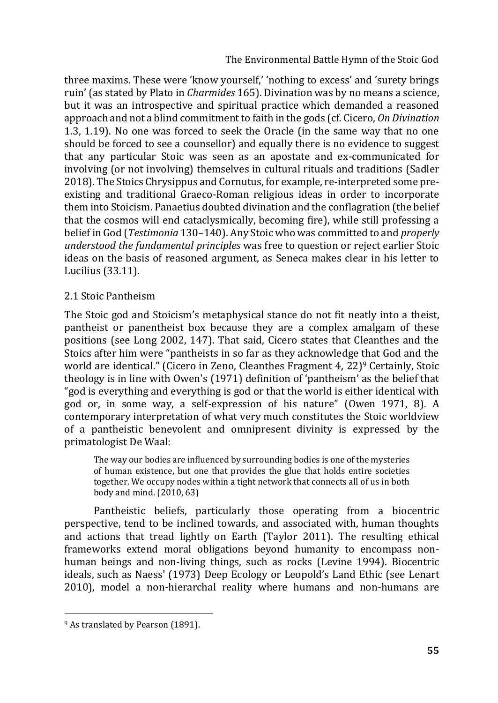The Environmental Battle Hymn of the Stoic God

three maxims. These were 'know yourself,' 'nothing to excess' and 'surety brings ruin' (as stated by Plato in *Charmides* 165). Divination was by no means a science, but it was an introspective and spiritual practice which demanded a reasoned approach and not a blind commitment to faith in the gods (cf. Cicero, *On Divination* 1.3, 1.19). No one was forced to seek the Oracle (in the same way that no one should be forced to see a counsellor) and equally there is no evidence to suggest that any particular Stoic was seen as an apostate and ex-communicated for involving (or not involving) themselves in cultural rituals and traditions (Sadler 2018). The Stoics Chrysippus and Cornutus, for example, re-interpreted some preexisting and traditional Graeco-Roman religious ideas in order to incorporate them into Stoicism. Panaetius doubted divination and the conflagration (the belief that the cosmos will end cataclysmically, becoming fire), while still professing a belief in God (*Testimonia* 130–140). Any Stoic who was committed to and *properly understood the fundamental principles* was free to question or reject earlier Stoic ideas on the basis of reasoned argument, as Seneca makes clear in his letter to Lucilius (33.11).

### 2.1 Stoic Pantheism

The Stoic god and Stoicism's metaphysical stance do not fit neatly into a theist, pantheist or panentheist box because they are a complex amalgam of these positions (see Long 2002, 147). That said, Cicero states that Cleanthes and the Stoics after him were "pantheists in so far as they acknowledge that God and the world are identical." (Cicero in Zeno, Cleanthes Fragment 4, 22)<sup>9</sup> Certainly, Stoic theology is in line with Owen's (1971) definition of 'pantheism' as the belief that "god is everything and everything is god or that the world is either identical with god or, in some way, a self-expression of his nature" (Owen 1971, 8). A contemporary interpretation of what very much constitutes the Stoic worldview of a pantheistic benevolent and omnipresent divinity is expressed by the primatologist De Waal:

The way our bodies are influenced by surrounding bodies is one of the mysteries of human existence, but one that provides the glue that holds entire societies together. We occupy nodes within a tight network that connects all of us in both body and mind. (2010, 63)

Pantheistic beliefs, particularly those operating from a biocentric perspective, tend to be inclined towards, and associated with, human thoughts and actions that tread lightly on Earth (Taylor 2011). The resulting ethical frameworks extend moral obligations beyond humanity to encompass nonhuman beings and non-living things, such as rocks (Levine 1994). Biocentric ideals, such as Naess' (1973) Deep Ecology or Leopold's Land Ethic (see Lenart 2010), model a non-hierarchal reality where humans and non-humans are

<sup>9</sup> As translated by Pearson (1891).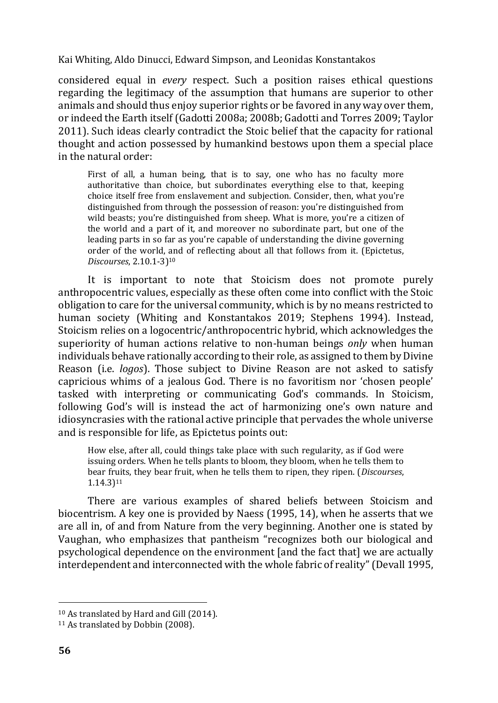considered equal in *every* respect. Such a position raises ethical questions regarding the legitimacy of the assumption that humans are superior to other animals and should thus enjoy superior rights or be favored in any way over them, or indeed the Earth itself (Gadotti 2008a; 2008b; Gadotti and Torres 2009; Taylor 2011). Such ideas clearly contradict the Stoic belief that the capacity for rational thought and action possessed by humankind bestows upon them a special place in the natural order:

First of all, a human being, that is to say, one who has no faculty more authoritative than choice, but subordinates everything else to that, keeping choice itself free from enslavement and subjection. Consider, then, what you're distinguished from through the possession of reason: you're distinguished from wild beasts; you're distinguished from sheep. What is more, you're a citizen of the world and a part of it, and moreover no subordinate part, but one of the leading parts in so far as you're capable of understanding the divine governing order of the world, and of reflecting about all that follows from it. (Epictetus, *Discourses*, 2.10.1-3)<sup>10</sup>

It is important to note that Stoicism does not promote purely anthropocentric values, especially as these often come into conflict with the Stoic obligation to care for the universal community, which is by no means restricted to human society (Whiting and Konstantakos 2019; Stephens 1994). Instead, Stoicism relies on a logocentric/anthropocentric hybrid, which acknowledges the superiority of human actions relative to non-human beings *only* when human individuals behave rationally according to their role, as assigned to them by Divine Reason (i.e. *logos*). Those subject to Divine Reason are not asked to satisfy capricious whims of a jealous God. There is no favoritism nor 'chosen people' tasked with interpreting or communicating God's commands. In Stoicism, following God's will is instead the act of harmonizing one's own nature and idiosyncrasies with the rational active principle that pervades the whole universe and is responsible for life, as Epictetus points out:

How else, after all, could things take place with such regularity, as if God were issuing orders. When he tells plants to bloom, they bloom, when he tells them to bear fruits, they bear fruit, when he tells them to ripen, they ripen. (*Discourses*, 1.14.3)<sup>11</sup>

There are various examples of shared beliefs between Stoicism and biocentrism. A key one is provided by Naess (1995, 14), when he asserts that we are all in, of and from Nature from the very beginning. Another one is stated by Vaughan, who emphasizes that pantheism "recognizes both our biological and psychological dependence on the environment [and the fact that] we are actually interdependent and interconnected with the whole fabric of reality" (Devall 1995,

<sup>10</sup> As translated by Hard and Gill (2014).

<sup>&</sup>lt;sup>11</sup> As translated by Dobbin (2008).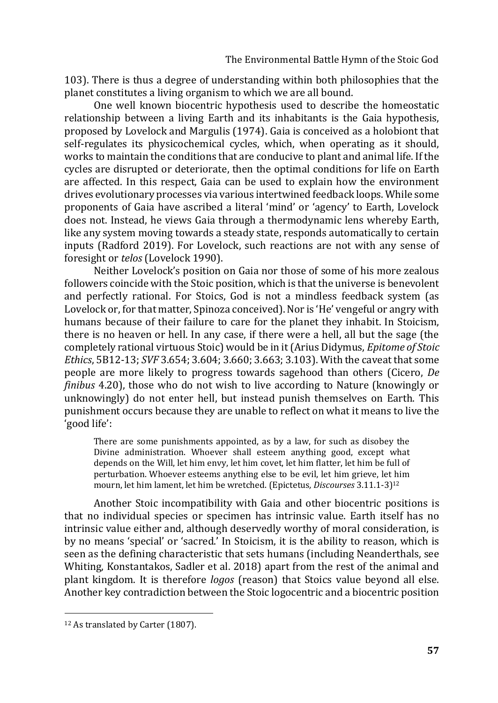103). There is thus a degree of understanding within both philosophies that the planet constitutes a living organism to which we are all bound.

One well known biocentric hypothesis used to describe the homeostatic relationship between a living Earth and its inhabitants is the Gaia hypothesis, proposed by Lovelock and Margulis (1974). Gaia is conceived as a holobiont that self-regulates its physicochemical cycles, which, when operating as it should, works to maintain the conditions that are conducive to plant and animal life. If the cycles are disrupted or deteriorate, then the optimal conditions for life on Earth are affected. In this respect, Gaia can be used to explain how the environment drives evolutionary processes via various intertwined feedback loops. While some proponents of Gaia have ascribed a literal 'mind' or 'agency' to Earth, Lovelock does not. Instead, he views Gaia through a thermodynamic lens whereby Earth, like any system moving towards a steady state, responds automatically to certain inputs (Radford 2019). For Lovelock, such reactions are not with any sense of foresight or *telos* (Lovelock 1990).

Neither Lovelock's position on Gaia nor those of some of his more zealous followers coincide with the Stoic position, which is that the universe is benevolent and perfectly rational. For Stoics, God is not a mindless feedback system (as Lovelock or, for that matter, Spinoza conceived). Nor is 'He' vengeful or angry with humans because of their failure to care for the planet they inhabit. In Stoicism, there is no heaven or hell. In any case, if there were a hell, all but the sage (the completely rational virtuous Stoic) would be in it (Arius Didymus, *Epitome of Stoic Ethics*, 5B12-13; *SVF* 3.654; 3.604; 3.660; 3.663; 3.103). With the caveat that some people are more likely to progress towards sagehood than others (Cicero, *De finibus* 4.20), those who do not wish to live according to Nature (knowingly or unknowingly) do not enter hell, but instead punish themselves on Earth. This punishment occurs because they are unable to reflect on what it means to live the 'good life':

There are some punishments appointed, as by a law, for such as disobey the Divine administration. Whoever shall esteem anything good, except what depends on the Will, let him envy, let him covet, let him flatter, let him be full of perturbation. Whoever esteems anything else to be evil, let him grieve, let him mourn, let him lament, let him be wretched. (Epictetus*, Discourses* 3.11.1-3)<sup>12</sup>

Another Stoic incompatibility with Gaia and other biocentric positions is that no individual species or specimen has intrinsic value. Earth itself has no intrinsic value either and, although deservedly worthy of moral consideration, is by no means 'special' or 'sacred.' In Stoicism, it is the ability to reason, which is seen as the defining characteristic that sets humans (including Neanderthals, see Whiting, Konstantakos, Sadler et al. 2018) apart from the rest of the animal and plant kingdom. It is therefore *logos* (reason) that Stoics value beyond all else. Another key contradiction between the Stoic logocentric and a biocentric position

<sup>12</sup> As translated by Carter (1807).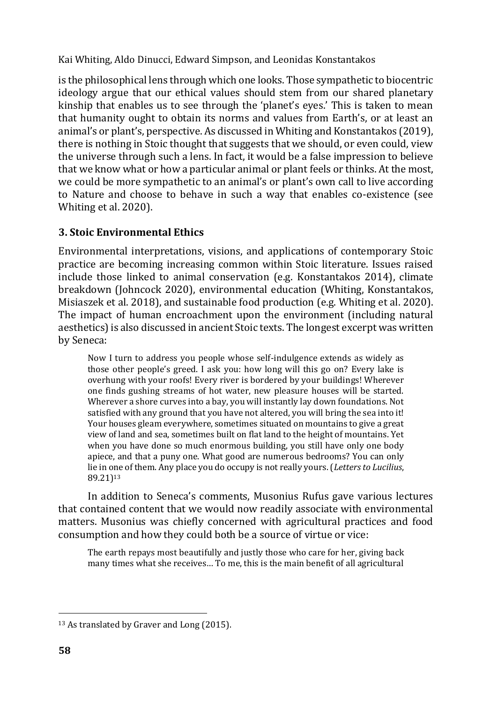is the philosophical lens through which one looks. Those sympathetic to biocentric ideology argue that our ethical values should stem from our shared planetary kinship that enables us to see through the 'planet's eyes.' This is taken to mean that humanity ought to obtain its norms and values from Earth's, or at least an animal's or plant's, perspective. As discussed in Whiting and Konstantakos (2019), there is nothing in Stoic thought that suggests that we should, or even could, view the universe through such a lens. In fact, it would be a false impression to believe that we know what or how a particular animal or plant feels or thinks. At the most, we could be more sympathetic to an animal's or plant's own call to live according to Nature and choose to behave in such a way that enables co-existence (see Whiting et al. 2020).

## **3. Stoic Environmental Ethics**

Environmental interpretations, visions, and applications of contemporary Stoic practice are becoming increasing common within Stoic literature. Issues raised include those linked to animal conservation (e.g. Konstantakos 2014), climate breakdown (Johncock 2020), environmental education (Whiting, Konstantakos, Misiaszek et al. 2018), and sustainable food production (e.g. Whiting et al. 2020). The impact of human encroachment upon the environment (including natural aesthetics) is also discussed in ancient Stoic texts. The longest excerpt was written by Seneca:

Now I turn to address you people whose self-indulgence extends as widely as those other people's greed. I ask you: how long will this go on? Every lake is overhung with your roofs! Every river is bordered by your buildings! Wherever one finds gushing streams of hot water, new pleasure houses will be started. Wherever a shore curves into a bay, you will instantly lay down foundations. Not satisfied with any ground that you have not altered, you will bring the sea into it! Your houses gleam everywhere, sometimes situated on mountains to give a great view of land and sea, sometimes built on flat land to the height of mountains. Yet when you have done so much enormous building, you still have only one body apiece, and that a puny one. What good are numerous bedrooms? You can only lie in one of them. Any place you do occupy is not really yours. (*Letters to Lucilius*, 89.21)<sup>13</sup>

In addition to Seneca's comments, Musonius Rufus gave various lectures that contained content that we would now readily associate with environmental matters. Musonius was chiefly concerned with agricultural practices and food consumption and how they could both be a source of virtue or vice:

The earth repays most beautifully and justly those who care for her, giving back many times what she receives… To me, this is the main benefit of all agricultural

<sup>&</sup>lt;sup>13</sup> As translated by Graver and Long (2015).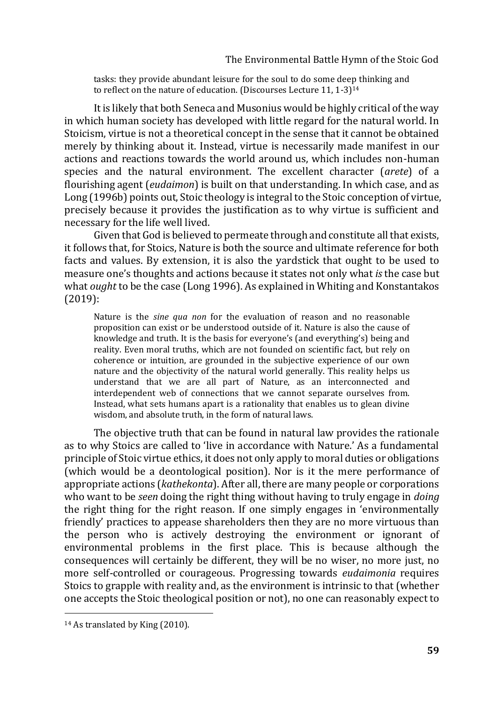tasks: they provide abundant leisure for the soul to do some deep thinking and to reflect on the nature of education. (Discourses Lecture 11, 1-3) 14

It is likely that both Seneca and Musonius would be highly critical of the way in which human society has developed with little regard for the natural world. In Stoicism, virtue is not a theoretical concept in the sense that it cannot be obtained merely by thinking about it. Instead, virtue is necessarily made manifest in our actions and reactions towards the world around us, which includes non-human species and the natural environment. The excellent character (*arete*) of a flourishing agent (*eudaimon*) is built on that understanding. In which case, and as Long (1996b) points out, Stoic theology is integral to the Stoic conception of virtue, precisely because it provides the justification as to why virtue is sufficient and necessary for the life well lived.

Given that God is believed to permeate through and constitute all that exists, it follows that, for Stoics, Nature is both the source and ultimate reference for both facts and values. By extension, it is also the yardstick that ought to be used to measure one's thoughts and actions because it states not only what *is* the case but what *ought* to be the case (Long 1996). As explained in Whiting and Konstantakos (2019):

Nature is the *sine qua non* for the evaluation of reason and no reasonable proposition can exist or be understood outside of it. Nature is also the cause of knowledge and truth. It is the basis for everyone's (and everything's) being and reality. Even moral truths, which are not founded on scientific fact, but rely on coherence or intuition, are grounded in the subjective experience of our own nature and the objectivity of the natural world generally. This reality helps us understand that we are all part of Nature, as an interconnected and interdependent web of connections that we cannot separate ourselves from. Instead, what sets humans apart is a rationality that enables us to glean divine wisdom, and absolute truth, in the form of natural laws.

The objective truth that can be found in natural law provides the rationale as to why Stoics are called to 'live in accordance with Nature.' As a fundamental principle of Stoic virtue ethics, it does not only apply to moral duties or obligations (which would be a deontological position). Nor is it the mere performance of appropriate actions (*kathekonta*). After all, there are many people or corporations who want to be *seen* doing the right thing without having to truly engage in *doing* the right thing for the right reason. If one simply engages in 'environmentally friendly' practices to appease shareholders then they are no more virtuous than the person who is actively destroying the environment or ignorant of environmental problems in the first place. This is because although the consequences will certainly be different, they will be no wiser, no more just, no more self-controlled or courageous. Progressing towards *eudaimonia* requires Stoics to grapple with reality and, as the environment is intrinsic to that (whether one accepts the Stoic theological position or not), no one can reasonably expect to

<sup>14</sup> As translated by King (2010).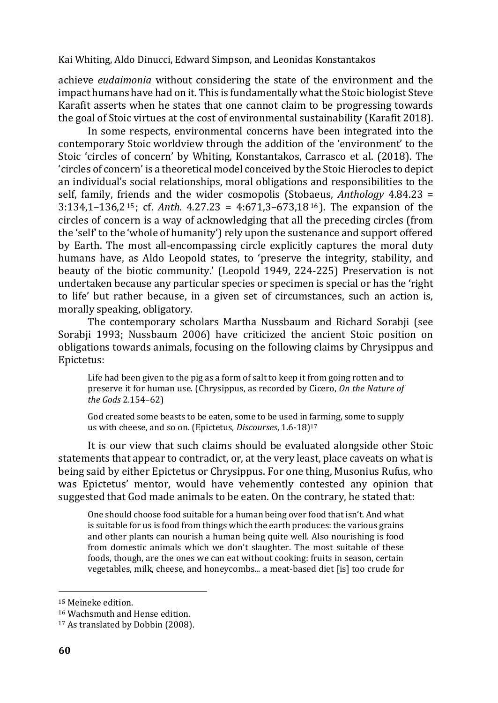achieve *eudaimonia* without considering the state of the environment and the impact humans have had on it. This is fundamentally what the Stoic biologist Steve Karafit asserts when he states that one cannot claim to be progressing towards the goal of Stoic virtues at the cost of environmental sustainability (Karafit 2018).

In some respects, environmental concerns have been integrated into the contemporary Stoic worldview through the addition of the 'environment' to the Stoic 'circles of concern' by Whiting, Konstantakos, Carrasco et al. (2018). The 'circles of concern' is a theoretical model conceived by the Stoic Hierocles to depict an individual's social relationships, moral obligations and responsibilities to the self, family, friends and the wider cosmopolis (Stobaeus, *Anthology* 4.84.23 = 3:134,1–136,2<sup>15</sup> ; cf. *Anth*. 4.27.23 = 4:671,3–673,18<sup>16</sup> ). The expansion of the circles of concern is a way of acknowledging that all the preceding circles (from the 'self' to the 'whole of humanity') rely upon the sustenance and support offered by Earth. The most all-encompassing circle explicitly captures the moral duty humans have, as Aldo Leopold states, to 'preserve the integrity, stability, and beauty of the biotic community.' (Leopold 1949, 224-225) Preservation is not undertaken because any particular species or specimen is special or has the 'right to life' but rather because, in a given set of circumstances, such an action is, morally speaking, obligatory.

The contemporary scholars Martha Nussbaum and Richard Sorabji (see Sorabji 1993; Nussbaum 2006) have criticized the ancient Stoic position on obligations towards animals, focusing on the following claims by Chrysippus and Epictetus:

Life had been given to the pig as a form of salt to keep it from going rotten and to preserve it for human use. (Chrysippus, as recorded by Cicero, *On the Nature of the Gods* 2.154–62)

God created some beasts to be eaten, some to be used in farming, some to supply us with cheese, and so on. (Epictetus, *Discourses*, 1.6-18)<sup>17</sup>

It is our view that such claims should be evaluated alongside other Stoic statements that appear to contradict, or, at the very least, place caveats on what is being said by either Epictetus or Chrysippus. For one thing, Musonius Rufus, who was Epictetus' mentor, would have vehemently contested any opinion that suggested that God made animals to be eaten. On the contrary, he stated that:

One should choose food suitable for a human being over food that isn't. And what is suitable for us is food from things which the earth produces: the various grains and other plants can nourish a human being quite well. Also nourishing is food from domestic animals which we don't slaughter. The most suitable of these foods, though, are the ones we can eat without cooking: fruits in season, certain vegetables, milk, cheese, and honeycombs... a meat-based diet [is] too crude for

<sup>15</sup> Meineke edition.

<sup>16</sup> Wachsmuth and Hense edition.

<sup>17</sup> As translated by Dobbin (2008).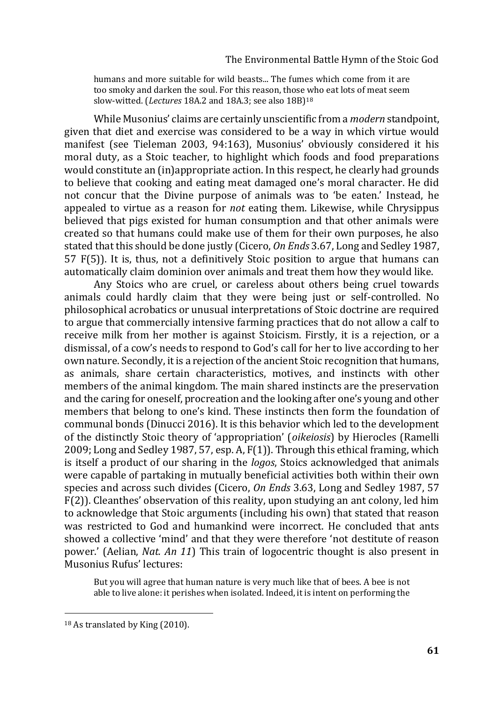humans and more suitable for wild beasts... The fumes which come from it are too smoky and darken the soul. For this reason, those who eat lots of meat seem slow-witted. (*Lectures* 18A.2 and 18A.3; see also 18B)<sup>18</sup>

While Musonius' claims are certainly unscientific from a *modern* standpoint, given that diet and exercise was considered to be a way in which virtue would manifest (see Tieleman 2003, 94:163), Musonius' obviously considered it his moral duty, as a Stoic teacher, to highlight which foods and food preparations would constitute an (in)appropriate action. In this respect, he clearly had grounds to believe that cooking and eating meat damaged one's moral character. He did not concur that the Divine purpose of animals was to 'be eaten.' Instead, he appealed to virtue as a reason for *not* eating them. Likewise, while Chrysippus believed that pigs existed for human consumption and that other animals were created so that humans could make use of them for their own purposes, he also stated that this should be done justly (Cicero, *On Ends* 3.67, Long and Sedley 1987, 57 F(5)). It is, thus, not a definitively Stoic position to argue that humans can automatically claim dominion over animals and treat them how they would like.

Any Stoics who are cruel, or careless about others being cruel towards animals could hardly claim that they were being just or self-controlled. No philosophical acrobatics or unusual interpretations of Stoic doctrine are required to argue that commercially intensive farming practices that do not allow a calf to receive milk from her mother is against Stoicism. Firstly, it is a rejection, or a dismissal, of a cow's needs to respond to God's call for her to live according to her own nature. Secondly, it is a rejection of the ancient Stoic recognition that humans, as animals, share certain characteristics, motives, and instincts with other members of the animal kingdom. The main shared instincts are the preservation and the caring for oneself, procreation and the looking after one's young and other members that belong to one's kind. These instincts then form the foundation of communal bonds (Dinucci 2016). It is this behavior which led to the development of the distinctly Stoic theory of 'appropriation' (*oikeiosis*) by Hierocles (Ramelli 2009; Long and Sedley 1987, 57, esp. A, F(1)). Through this ethical framing, which is itself a product of our sharing in the *logos*, Stoics acknowledged that animals were capable of partaking in mutually beneficial activities both within their own species and across such divides (Cicero, *On Ends* 3.63, Long and Sedley 1987, 57 F(2)). Cleanthes' observation of this reality, upon studying an ant colony, led him to acknowledge that Stoic arguments (including his own) that stated that reason was restricted to God and humankind were incorrect. He concluded that ants showed a collective 'mind' and that they were therefore 'not destitute of reason power.' (Aelian, *Nat. An 11*) This train of logocentric thought is also present in Musonius Rufus' lectures:

But you will agree that human nature is very much like that of bees. A bee is not able to live alone: it perishes when isolated. Indeed, it is intent on performing the

<sup>18</sup> As translated by King (2010).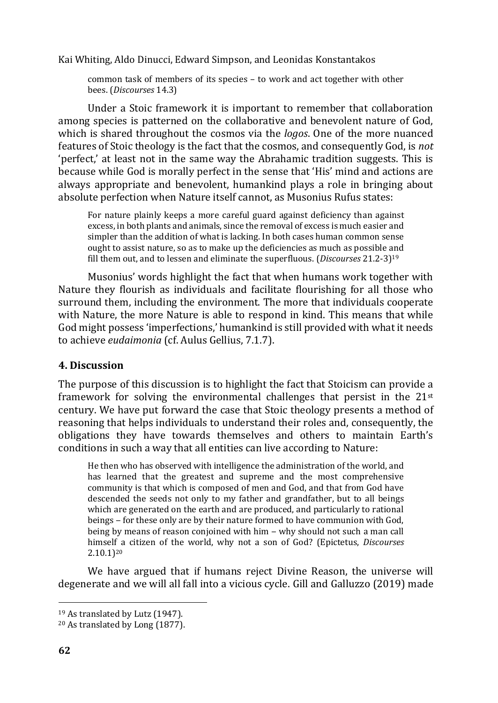common task of members of its species – to work and act together with other bees. (*Discourses* 14.3)

Under a Stoic framework it is important to remember that collaboration among species is patterned on the collaborative and benevolent nature of God, which is shared throughout the cosmos via the *logos*. One of the more nuanced features of Stoic theology is the fact that the cosmos, and consequently God, is *not* 'perfect,' at least not in the same way the Abrahamic tradition suggests. This is because while God is morally perfect in the sense that 'His' mind and actions are always appropriate and benevolent, humankind plays a role in bringing about absolute perfection when Nature itself cannot, as Musonius Rufus states:

For nature plainly keeps a more careful guard against deficiency than against excess, in both plants and animals, since the removal of excess is much easier and simpler than the addition of what is lacking. In both cases human common sense ought to assist nature, so as to make up the deficiencies as much as possible and fill them out, and to lessen and eliminate the superfluous. (*Discourses* 21.2-3)<sup>19</sup>

Musonius' words highlight the fact that when humans work together with Nature they flourish as individuals and facilitate flourishing for all those who surround them, including the environment. The more that individuals cooperate with Nature, the more Nature is able to respond in kind. This means that while God might possess 'imperfections,' humankind is still provided with what it needs to achieve *eudaimonia* (cf. Aulus Gellius, 7.1.7).

#### **4. Discussion**

The purpose of this discussion is to highlight the fact that Stoicism can provide a framework for solving the environmental challenges that persist in the 21st century. We have put forward the case that Stoic theology presents a method of reasoning that helps individuals to understand their roles and, consequently, the obligations they have towards themselves and others to maintain Earth's conditions in such a way that all entities can live according to Nature:

He then who has observed with intelligence the administration of the world, and has learned that the greatest and supreme and the most comprehensive community is that which is composed of men and God, and that from God have descended the seeds not only to my father and grandfather, but to all beings which are generated on the earth and are produced, and particularly to rational beings – for these only are by their nature formed to have communion with God, being by means of reason conjoined with him – why should not such a man call himself a citizen of the world, why not a son of God? (Epictetus, *Discourses* 2.10.1)<sup>20</sup>

We have argued that if humans reject Divine Reason, the universe will degenerate and we will all fall into a vicious cycle. Gill and Galluzzo (2019) made

<sup>19</sup> As translated by Lutz (1947).

<sup>20</sup> As translated by Long (1877).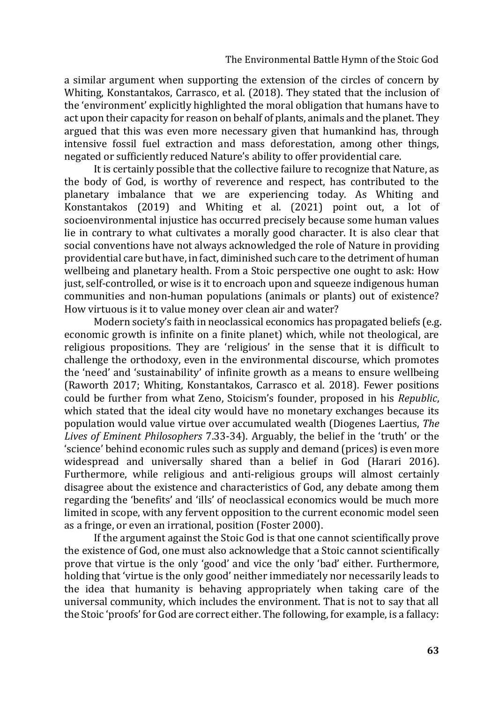a similar argument when supporting the extension of the circles of concern by Whiting, Konstantakos, Carrasco, et al. (2018). They stated that the inclusion of the 'environment' explicitly highlighted the moral obligation that humans have to act upon their capacity for reason on behalf of plants, animals and the planet. They argued that this was even more necessary given that humankind has, through intensive fossil fuel extraction and mass deforestation, among other things, negated or sufficiently reduced Nature's ability to offer providential care.

It is certainly possible that the collective failure to recognize that Nature, as the body of God, is worthy of reverence and respect, has contributed to the planetary imbalance that we are experiencing today. As Whiting and Konstantakos (2019) and Whiting et al. (2021) point out, a lot of socioenvironmental injustice has occurred precisely because some human values lie in contrary to what cultivates a morally good character. It is also clear that social conventions have not always acknowledged the role of Nature in providing providential care but have, in fact, diminished such care to the detriment of human wellbeing and planetary health. From a Stoic perspective one ought to ask: How just, self-controlled, or wise is it to encroach upon and squeeze indigenous human communities and non-human populations (animals or plants) out of existence? How virtuous is it to value money over clean air and water?

Modern society's faith in neoclassical economics has propagated beliefs (e.g. economic growth is infinite on a finite planet) which, while not theological, are religious propositions. They are 'religious' in the sense that it is difficult to challenge the orthodoxy, even in the environmental discourse, which promotes the 'need' and 'sustainability' of infinite growth as a means to ensure wellbeing (Raworth 2017; Whiting, Konstantakos, Carrasco et al. 2018). Fewer positions could be further from what Zeno, Stoicism's founder, proposed in his *Republic*, which stated that the ideal city would have no monetary exchanges because its population would value virtue over accumulated wealth (Diogenes Laertius, *The Lives of Eminent Philosophers* 7.33-34). Arguably, the belief in the 'truth' or the 'science' behind economic rules such as supply and demand (prices) is even more widespread and universally shared than a belief in God (Harari 2016). Furthermore, while religious and anti-religious groups will almost certainly disagree about the existence and characteristics of God, any debate among them regarding the 'benefits' and 'ills' of neoclassical economics would be much more limited in scope, with any fervent opposition to the current economic model seen as a fringe, or even an irrational, position (Foster 2000).

If the argument against the Stoic God is that one cannot scientifically prove the existence of God, one must also acknowledge that a Stoic cannot scientifically prove that virtue is the only 'good' and vice the only 'bad' either. Furthermore, holding that 'virtue is the only good' neither immediately nor necessarily leads to the idea that humanity is behaving appropriately when taking care of the universal community, which includes the environment. That is not to say that all the Stoic 'proofs' for God are correct either. The following, for example, is a fallacy: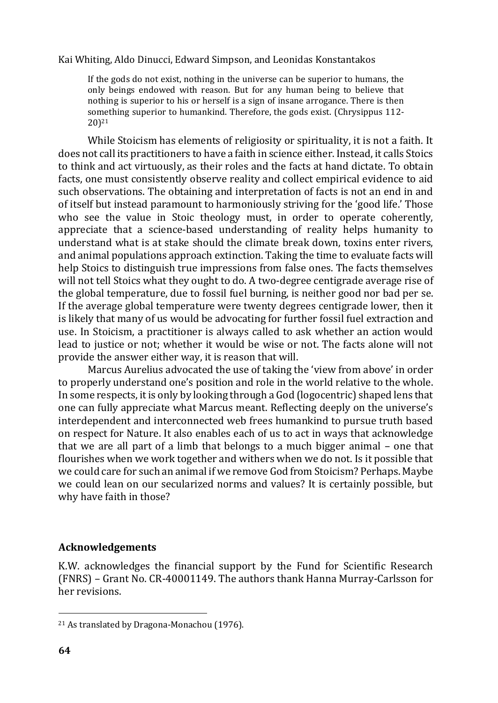If the gods do not exist, nothing in the universe can be superior to humans, the only beings endowed with reason. But for any human being to believe that nothing is superior to his or herself is a sign of insane arrogance. There is then something superior to humankind. Therefore, the gods exist. (Chrysippus 112- 20)<sup>21</sup>

While Stoicism has elements of religiosity or spirituality, it is not a faith. It does not call its practitioners to have a faith in science either. Instead, it calls Stoics to think and act virtuously, as their roles and the facts at hand dictate. To obtain facts, one must consistently observe reality and collect empirical evidence to aid such observations. The obtaining and interpretation of facts is not an end in and of itself but instead paramount to harmoniously striving for the 'good life.' Those who see the value in Stoic theology must, in order to operate coherently, appreciate that a science-based understanding of reality helps humanity to understand what is at stake should the climate break down, toxins enter rivers, and animal populations approach extinction. Taking the time to evaluate facts will help Stoics to distinguish true impressions from false ones. The facts themselves will not tell Stoics what they ought to do. A two-degree centigrade average rise of the global temperature, due to fossil fuel burning, is neither good nor bad per se. If the average global temperature were twenty degrees centigrade lower, then it is likely that many of us would be advocating for further fossil fuel extraction and use. In Stoicism, a practitioner is always called to ask whether an action would lead to justice or not; whether it would be wise or not. The facts alone will not provide the answer either way, it is reason that will.

Marcus Aurelius advocated the use of taking the 'view from above' in order to properly understand one's position and role in the world relative to the whole. In some respects, it is only by looking through a God (logocentric) shaped lens that one can fully appreciate what Marcus meant. Reflecting deeply on the universe's interdependent and interconnected web frees humankind to pursue truth based on respect for Nature. It also enables each of us to act in ways that acknowledge that we are all part of a limb that belongs to a much bigger animal – one that flourishes when we work together and withers when we do not. Is it possible that we could care for such an animal if we remove God from Stoicism? Perhaps. Maybe we could lean on our secularized norms and values? It is certainly possible, but why have faith in those?

#### **Acknowledgements**

K.W. acknowledges the financial support by the Fund for Scientific Research (FNRS) – Grant No. CR-40001149. The authors thank Hanna Murray-Carlsson for her revisions.

<sup>21</sup> As translated by Dragona-Monachou (1976).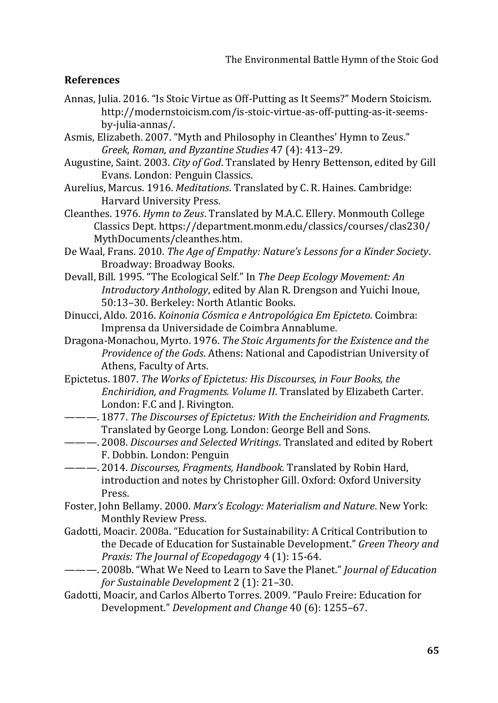#### **References**

- Annas, Julia. 2016. "Is Stoic Virtue as Off-Putting as It Seems?" Modern Stoicism. http://modernstoicism.com/is-stoic-virtue-as-off-putting-as-it-seemsby-julia-annas/.
- Asmis, Elizabeth. 2007. "Myth and Philosophy in Cleanthes' Hymn to Zeus." *Greek, Roman, and Byzantine Studies* 47 (4): 413–29.
- Augustine, Saint. 2003. *City of God*. Translated by Henry Bettenson, edited by Gill Evans. London: Penguin Classics.
- Aurelius, Marcus. 1916. *Meditations*. Translated by C. R. Haines. Cambridge: Harvard University Press.
- Cleanthes. 1976. *Hymn to Zeus*. Translated by M.A.C. Ellery. Monmouth College Classics Dept. https://department.monm.edu/classics/courses/clas230/ MythDocuments/cleanthes.htm.
- De Waal, Frans. 2010. *The Age of Empathy: Nature's Lessons for a Kinder Society*. Broadway: Broadway Books.
- Devall, Bill. 1995. "The Ecological Self." In *The Deep Ecology Movement: An Introductory Anthology*, edited by Alan R. Drengson and Yuichi Inoue, 50:13–30. Berkeley: North Atlantic Books.
- Dinucci, Aldo. 2016. *Koinonia Cósmica e Antropológica Em Epicteto*. Coimbra: Imprensa da Universidade de Coimbra Annablume.
- Dragona-Monachou, Myrto. 1976. *The Stoic Arguments for the Existence and the Providence of the Gods*. Athens: National and Capodistrian University of Athens, Faculty of Arts.
- Epictetus. 1807. *The Works of Epictetus: His Discourses, in Four Books, the Enchiridion, and Fragments. Volume II*. Translated by Elizabeth Carter. London: F.C and J. Rivington.
- ———. 1877. *The Discourses of Epictetus: With the Encheiridion and Fragments*. Translated by George Long. London: George Bell and Sons.
- ———. 2008. *Discourses and Selected Writings*. Translated and edited by Robert F. Dobbin. London: Penguin
- ———. 2014. *Discourses, Fragments, Handbook.* Translated by Robin Hard, introduction and notes by Christopher Gill. Oxford: Oxford University Press.
- Foster, John Bellamy. 2000. *Marx's Ecology: Materialism and Nature*. New York: Monthly Review Press.
- Gadotti, Moacir. 2008a. "Education for Sustainability: A Critical Contribution to the Decade of Education for Sustainable Development." *Green Theory and Praxis: The Journal of Ecopedagogy* 4 (1): 15-64.
- ———. 2008b. "What We Need to Learn to Save the Planet." *Journal of Education for Sustainable Development* 2 (1): 21–30.
- Gadotti, Moacir, and Carlos Alberto Torres. 2009. "Paulo Freire: Education for Development." *Development and Change* 40 (6): 1255–67.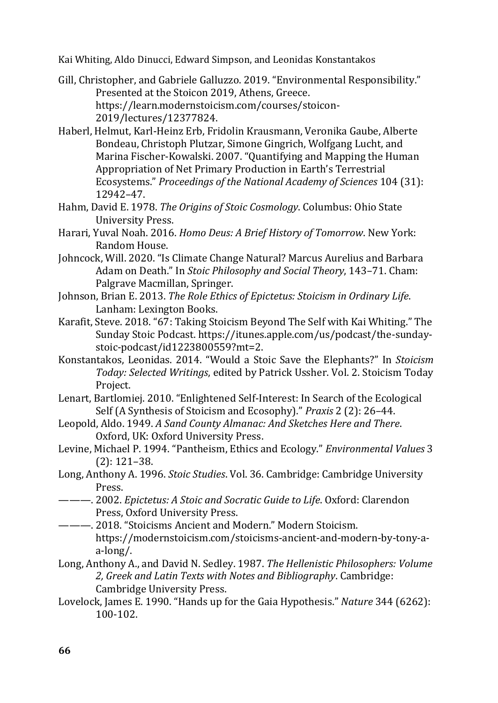- Gill, Christopher, and Gabriele Galluzzo. 2019. "Environmental Responsibility." Presented at the Stoicon 2019, Athens, Greece. https://learn.modernstoicism.com/courses/stoicon-2019/lectures/12377824.
- Haberl, Helmut, Karl-Heinz Erb, Fridolin Krausmann, Veronika Gaube, Alberte Bondeau, Christoph Plutzar, Simone Gingrich, Wolfgang Lucht, and Marina Fischer-Kowalski. 2007. "Quantifying and Mapping the Human Appropriation of Net Primary Production in Earth's Terrestrial Ecosystems." *Proceedings of the National Academy of Sciences* 104 (31): 12942–47.
- Hahm, David E. 1978. *The Origins of Stoic Cosmology*. Columbus: Ohio State University Press.
- Harari, Yuval Noah. 2016. *Homo Deus: A Brief History of Tomorrow*. New York: Random House.
- Johncock, Will. 2020. "Is Climate Change Natural? Marcus Aurelius and Barbara Adam on Death." In *Stoic Philosophy and Social Theory*, 143–71. Cham: Palgrave Macmillan, Springer.
- Johnson, Brian E. 2013. *The Role Ethics of Epictetus: Stoicism in Ordinary Life*. Lanham: Lexington Books.
- Karafit, Steve. 2018. "67: Taking Stoicism Beyond The Self with Kai Whiting." The Sunday Stoic Podcast. https://itunes.apple.com/us/podcast/the-sundaystoic-podcast/id1223800559?mt=2.
- Konstantakos, Leonidas. 2014. "Would a Stoic Save the Elephants?" In *Stoicism Today: Selected Writings*, edited by Patrick Ussher. Vol. 2. Stoicism Today Project.
- Lenart, Bartlomiej. 2010. "Enlightened Self-Interest: In Search of the Ecological Self (A Synthesis of Stoicism and Ecosophy)." *Praxis* 2 (2): 26–44.
- Leopold, Aldo. 1949. *A Sand County Almanac: And Sketches Here and There*. Oxford, UK: Oxford University Press.
- Levine, Michael P. 1994. "Pantheism, Ethics and Ecology." *Environmental Values* 3 (2): 121–38.
- Long, Anthony A. 1996. *Stoic Studies*. Vol. 36. Cambridge: Cambridge University Press.
- ———. 2002. *Epictetus: A Stoic and Socratic Guide to Life*. Oxford: Clarendon Press, Oxford University Press.
- ———. 2018. "Stoicisms Ancient and Modern." Modern Stoicism. https://modernstoicism.com/stoicisms-ancient-and-modern-by-tony-aa-long/.
- Long, Anthony A., and David N. Sedley. 1987. *The Hellenistic Philosophers: Volume 2, Greek and Latin Texts with Notes and Bibliography*. Cambridge: Cambridge University Press.
- Lovelock, James E. 1990. "Hands up for the Gaia Hypothesis." *Nature* 344 (6262): 100-102.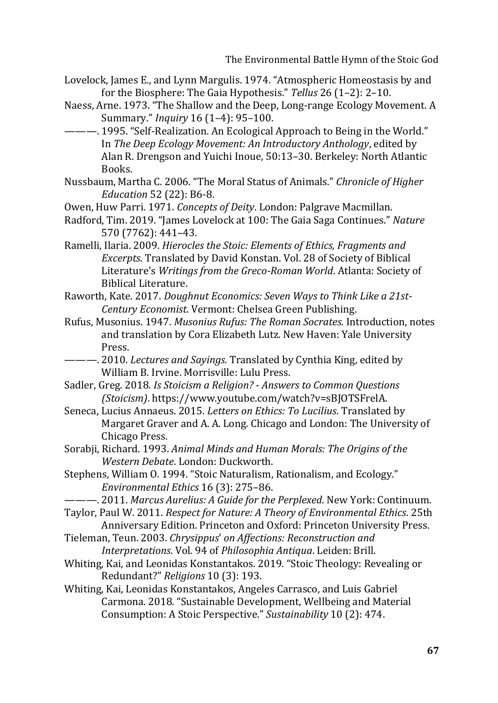The Environmental Battle Hymn of the Stoic God

- Lovelock, James E., and Lynn Margulis. 1974. "Atmospheric Homeostasis by and for the Biosphere: The Gaia Hypothesis." *Tellus* 26 (1–2): 2–10.
- Naess, Arne. 1973. "The Shallow and the Deep, Long‐range Ecology Movement. A Summary." *Inquiry* 16 (1–4): 95–100.
- ———. 1995. "Self-Realization. An Ecological Approach to Being in the World." In *The Deep Ecology Movement: An Introductory Anthology*, edited by Alan R. Drengson and Yuichi Inoue, 50:13–30. Berkeley: North Atlantic Books.
- Nussbaum, Martha C. 2006. "The Moral Status of Animals." *Chronicle of Higher Education* 52 (22): B6-8.
- Owen, Huw Parri. 1971. *Concepts of Deity*. London: Palgrave Macmillan.
- Radford, Tim. 2019. "James Lovelock at 100: The Gaia Saga Continues." *Nature* 570 (7762): 441–43.
- Ramelli, Ilaria. 2009. *Hierocles the Stoic: Elements of Ethics, Fragments and Excerpts*. Translated by David Konstan. Vol. 28 of Society of Biblical Literature's *Writings from the Greco-Roman World*. Atlanta: Society of Biblical Literature.
- Raworth, Kate. 2017. *Doughnut Economics: Seven Ways to Think Like a 21st-Century Economist*. Vermont: Chelsea Green Publishing.
- Rufus, Musonius. 1947. *Musonius Rufus: The Roman Socrates.* Introduction, notes and translation by Cora Elizabeth Lutz. New Haven: Yale University Press.
- ———. 2010. *Lectures and Sayings.* Translated by Cynthia King, edited by William B. Irvine. Morrisville: Lulu Press.
- Sadler, Greg. 2018. *Is Stoicism a Religion? - Answers to Common Questions (Stoicism)*. https://www.youtube.com/watch?v=sBJOTSFrelA.
- Seneca, Lucius Annaeus. 2015. *Letters on Ethics: To Lucilius*. Translated by Margaret Graver and A. A. Long. Chicago and London: The University of Chicago Press.
- Sorabji, Richard. 1993. *Animal Minds and Human Morals: The Origins of the Western Debate*. London: Duckworth.
- Stephens, William O. 1994. "Stoic Naturalism, Rationalism, and Ecology." *Environmental Ethics* 16 (3): 275–86.
- ———. 2011. *Marcus Aurelius: A Guide for the Perplexed*. New York: Continuum.
- Taylor, Paul W. 2011. *Respect for Nature: A Theory of Environmental Ethics*. 25th Anniversary Edition. Princeton and Oxford: Princeton University Press.
- Tieleman, Teun. 2003. *Chrysippus*' *on Affections: Reconstruction and Interpretations*. Vol. 94 of *Philosophia Antiqua*. Leiden: Brill.
- Whiting, Kai, and Leonidas Konstantakos. 2019. "Stoic Theology: Revealing or Redundant?" *Religions* 10 (3): 193.
- Whiting, Kai, Leonidas Konstantakos, Angeles Carrasco, and Luis Gabriel Carmona. 2018. "Sustainable Development, Wellbeing and Material Consumption: A Stoic Perspective." *Sustainability* 10 (2): 474.